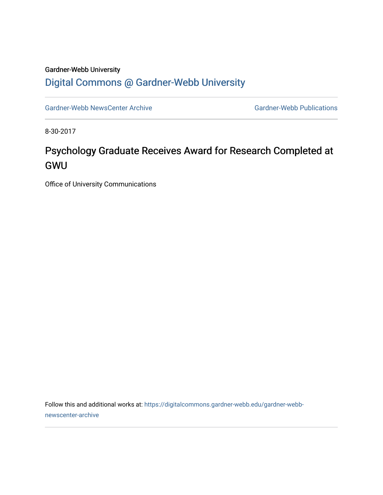## Gardner-Webb University [Digital Commons @ Gardner-Webb University](https://digitalcommons.gardner-webb.edu/)

[Gardner-Webb NewsCenter Archive](https://digitalcommons.gardner-webb.edu/gardner-webb-newscenter-archive) Gardner-Webb Publications

8-30-2017

## Psychology Graduate Receives Award for Research Completed at GWU

Office of University Communications

Follow this and additional works at: [https://digitalcommons.gardner-webb.edu/gardner-webb](https://digitalcommons.gardner-webb.edu/gardner-webb-newscenter-archive?utm_source=digitalcommons.gardner-webb.edu%2Fgardner-webb-newscenter-archive%2F573&utm_medium=PDF&utm_campaign=PDFCoverPages)[newscenter-archive](https://digitalcommons.gardner-webb.edu/gardner-webb-newscenter-archive?utm_source=digitalcommons.gardner-webb.edu%2Fgardner-webb-newscenter-archive%2F573&utm_medium=PDF&utm_campaign=PDFCoverPages)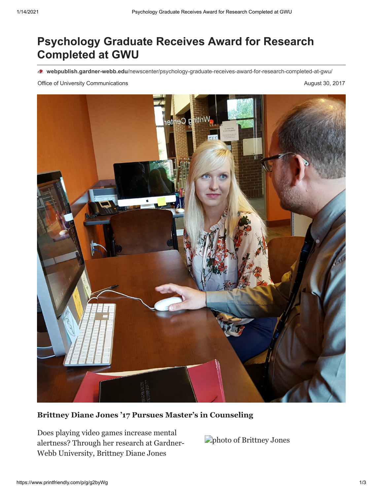## **Psychology Graduate Receives Award for Research Completed at GWU**

**webpublish.gardner-webb.edu**[/newscenter/psychology-graduate-receives-award-for-research-completed-at-gwu/](https://webpublish.gardner-webb.edu/newscenter/psychology-graduate-receives-award-for-research-completed-at-gwu/)

Office of University Communications **August 30, 2017 August 30, 2017** 



**Brittney Diane Jones '17 Pursues Master's in Counseling**

Does playing video games increase mental alertness? Through her research at Gardner-Webb University, Brittney Diane Jones

photo of Brittney Jones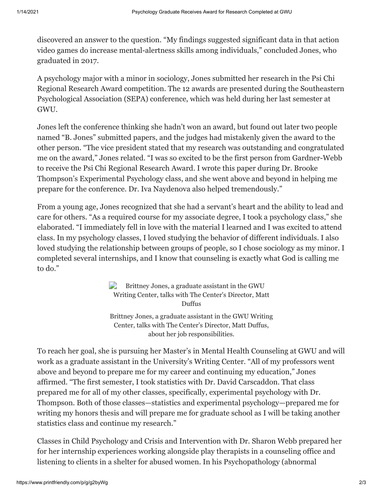discovered an answer to the question. "My findings suggested significant data in that action video games do increase mental-alertness skills among individuals," concluded Jones, who graduated in 2017.

A psychology major with a minor in sociology, Jones submitted her research in the Psi Chi Regional Research Award competition. The 12 awards are presented during the Southeastern Psychological Association (SEPA) conference, which was held during her last semester at GWU.

Jones left the conference thinking she hadn't won an award, but found out later two people named "B. Jones" submitted papers, and the judges had mistakenly given the award to the other person. "The vice president stated that my research was outstanding and congratulated me on the award," Jones related. "I was so excited to be the first person from Gardner-Webb to receive the Psi Chi Regional Research Award. I wrote this paper during Dr. Brooke Thompson's Experimental Psychology class, and she went above and beyond in helping me prepare for the conference. Dr. Iva Naydenova also helped tremendously."

From a young age, Jones recognized that she had a servant's heart and the ability to lead and care for others. "As a required course for my associate degree, I took a psychology class," she elaborated. "I immediately fell in love with the material I learned and I was excited to attend class. In my psychology classes, I loved studying the behavior of different individuals. I also loved studying the relationship between groups of people, so I chose sociology as my minor. I completed several internships, and I know that counseling is exactly what God is calling me to do."

> $\Rightarrow$ Brittney Jones, a graduate assistant in the GWU Writing Center, talks with The Center's Director, Matt Duffus Brittney Jones, a graduate assistant in the GWU Writing Center, talks with The Center's Director, Matt Duffus, about her job responsibilities.

To reach her goal, she is pursuing her Master's in Mental Health Counseling at GWU and will work as a graduate assistant in the University's Writing Center. "All of my professors went above and beyond to prepare me for my career and continuing my education," Jones affirmed. "The first semester, I took statistics with Dr. David Carscaddon. That class prepared me for all of my other classes, specifically, experimental psychology with Dr. Thompson. Both of those classes—statistics and experimental psychology—prepared me for writing my honors thesis and will prepare me for graduate school as I will be taking another statistics class and continue my research."

Classes in Child Psychology and Crisis and Intervention with Dr. Sharon Webb prepared her for her internship experiences working alongside play therapists in a counseling office and listening to clients in a shelter for abused women. In his Psychopathology (abnormal